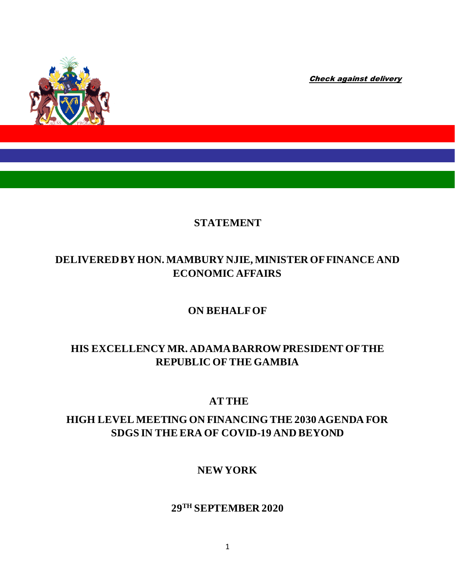

Check against delivery

### **STATEMENT**

# **DELIVERED BY HON. MAMBURY NJIE, MINISTER OF FINANCE AND ECONOMIC AFFAIRS**

#### **ON BEHALF OF**

## **HIS EXCELLENCY MR. ADAMA BARROW PRESIDENT OF THE REPUBLIC OF THE GAMBIA**

#### **AT THE**

## **HIGH LEVEL MEETING ON FINANCING THE 2030 AGENDA FOR SDGS IN THE ERA OF COVID-19 AND BEYOND**

### **NEW YORK**

#### **29 TH SEPTEMBER 2020**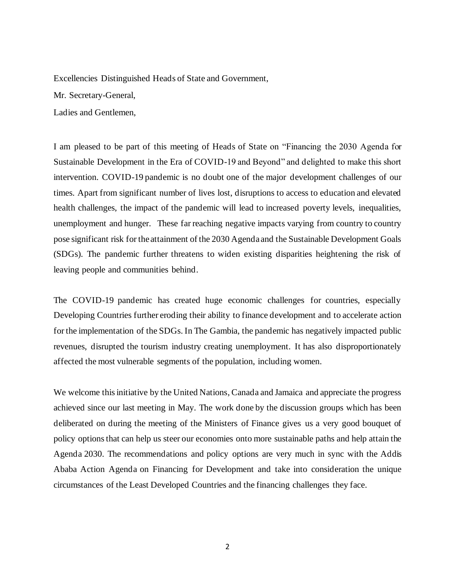Excellencies Distinguished Heads of State and Government,

Mr. Secretary-General,

Ladies and Gentlemen,

I am pleased to be part of this meeting of Heads of State on "Financing the 2030 Agenda for Sustainable Development in the Era of COVID-19 and Beyond" and delighted to make this short intervention. COVID-19 pandemic is no doubt one of the major development challenges of our times. Apart from significant number of lives lost, disruptions to access to education and elevated health challenges, the impact of the pandemic will lead to increased poverty levels, inequalities, unemployment and hunger. These far reaching negative impacts varying from country to country pose significant risk for the attainment of the 2030 Agenda and the Sustainable Development Goals (SDGs). The pandemic further threatens to widen existing disparities heightening the risk of leaving people and communities behind.

The COVID-19 pandemic has created huge economic challenges for countries, especially Developing Countries further eroding their ability to finance development and to accelerate action for the implementation of the SDGs. In The Gambia, the pandemic has negatively impacted public revenues, disrupted the tourism industry creating unemployment. It has also disproportionately affected the most vulnerable segments of the population, including women.

We welcome this initiative by the United Nations, Canada and Jamaica and appreciate the progress achieved since our last meeting in May. The work done by the discussion groups which has been deliberated on during the meeting of the Ministers of Finance gives us a very good bouquet of policy options that can help us steer our economies onto more sustainable paths and help attain the Agenda 2030. The recommendations and policy options are very much in sync with the Addis Ababa Action Agenda on Financing for Development and take into consideration the unique circumstances of the Least Developed Countries and the financing challenges they face.